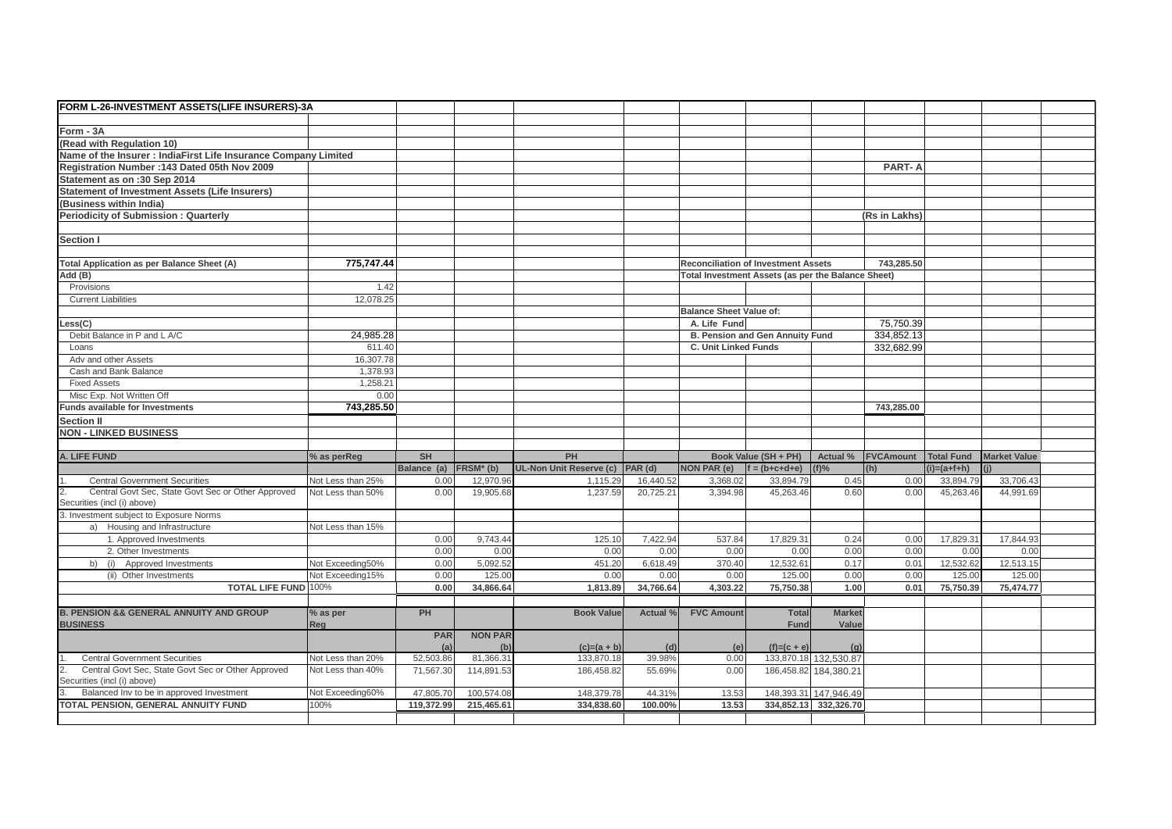| FORM L-26-INVESTMENT ASSETS(LIFE INSURERS)-3A                                                                                |                          |                         |                          |                                 |               |                                |                                                    |                                                |                  |                   |                     |  |
|------------------------------------------------------------------------------------------------------------------------------|--------------------------|-------------------------|--------------------------|---------------------------------|---------------|--------------------------------|----------------------------------------------------|------------------------------------------------|------------------|-------------------|---------------------|--|
|                                                                                                                              |                          |                         |                          |                                 |               |                                |                                                    |                                                |                  |                   |                     |  |
| Form - 3A                                                                                                                    |                          |                         |                          |                                 |               |                                |                                                    |                                                |                  |                   |                     |  |
| (Read with Regulation 10)                                                                                                    |                          |                         |                          |                                 |               |                                |                                                    |                                                |                  |                   |                     |  |
| Name of the Insurer: IndiaFirst Life Insurance Company Limited                                                               |                          |                         |                          |                                 |               |                                |                                                    |                                                |                  |                   |                     |  |
| Registration Number : 143 Dated 05th Nov 2009                                                                                |                          |                         |                          |                                 |               |                                |                                                    |                                                | <b>PART-A</b>    |                   |                     |  |
| Statement as on :30 Sep 2014                                                                                                 |                          |                         |                          |                                 |               |                                |                                                    |                                                |                  |                   |                     |  |
| <b>Statement of Investment Assets (Life Insurers)</b>                                                                        |                          |                         |                          |                                 |               |                                |                                                    |                                                |                  |                   |                     |  |
| (Business within India)                                                                                                      |                          |                         |                          |                                 |               |                                |                                                    |                                                |                  |                   |                     |  |
| <b>Periodicity of Submission: Quarterly</b>                                                                                  |                          |                         |                          |                                 |               |                                |                                                    |                                                | (Rs in Lakhs)    |                   |                     |  |
|                                                                                                                              |                          |                         |                          |                                 |               |                                |                                                    |                                                |                  |                   |                     |  |
| <b>Section I</b>                                                                                                             |                          |                         |                          |                                 |               |                                |                                                    |                                                |                  |                   |                     |  |
|                                                                                                                              |                          |                         |                          |                                 |               |                                |                                                    |                                                |                  |                   |                     |  |
| <b>Total Application as per Balance Sheet (A)</b>                                                                            | 775.747.44               |                         |                          |                                 |               |                                | <b>Reconciliation of Investment Assets</b>         |                                                | 743.285.50       |                   |                     |  |
| Add (B)                                                                                                                      |                          |                         |                          |                                 |               |                                | Total Investment Assets (as per the Balance Sheet) |                                                |                  |                   |                     |  |
| Provisions                                                                                                                   | 1.42                     |                         |                          |                                 |               |                                |                                                    |                                                |                  |                   |                     |  |
| <b>Current Liabilities</b>                                                                                                   | 12,078.25                |                         |                          |                                 |               |                                |                                                    |                                                |                  |                   |                     |  |
|                                                                                                                              |                          |                         |                          |                                 |               | <b>Balance Sheet Value of:</b> |                                                    |                                                |                  |                   |                     |  |
| ess(C)                                                                                                                       |                          |                         |                          |                                 |               | A. Life Fund                   |                                                    |                                                | 75,750.39        |                   |                     |  |
| Debit Balance in P and L A/C                                                                                                 | 24,985.28                |                         |                          |                                 |               |                                | B. Pension and Gen Annuity Fund                    |                                                | 334,852.13       |                   |                     |  |
| Loans                                                                                                                        | 611.40                   |                         |                          |                                 |               | C. Unit Linked Funds           |                                                    |                                                | 332,682.99       |                   |                     |  |
| Adv and other Assets                                                                                                         | 16,307.78                |                         |                          |                                 |               |                                |                                                    |                                                |                  |                   |                     |  |
| Cash and Bank Balance                                                                                                        | 1.378.93                 |                         |                          |                                 |               |                                |                                                    |                                                |                  |                   |                     |  |
|                                                                                                                              |                          |                         |                          |                                 |               |                                |                                                    |                                                |                  |                   |                     |  |
| <b>Fixed Assets</b>                                                                                                          | 1,258.21                 |                         |                          |                                 |               |                                |                                                    |                                                |                  |                   |                     |  |
| Misc Exp. Not Written Off                                                                                                    | 0.00                     |                         |                          |                                 |               |                                |                                                    |                                                |                  |                   |                     |  |
| <b>Funds available for Investments</b>                                                                                       | 743,285.50               |                         |                          |                                 |               |                                |                                                    |                                                | 743,285.00       |                   |                     |  |
| <b>Section II</b>                                                                                                            |                          |                         |                          |                                 |               |                                |                                                    |                                                |                  |                   |                     |  |
| <b>NON - LINKED BUSINESS</b>                                                                                                 |                          |                         |                          |                                 |               |                                |                                                    |                                                |                  |                   |                     |  |
|                                                                                                                              |                          |                         |                          |                                 |               |                                |                                                    |                                                |                  |                   |                     |  |
| A. LIFE FUND                                                                                                                 |                          |                         |                          |                                 |               |                                | Book Value (SH + PH)                               | Actual %                                       | <b>FVCAmount</b> | <b>Total Fund</b> | <b>Market Value</b> |  |
|                                                                                                                              | % as perReg              | <b>SH</b>               |                          | PH                              |               |                                |                                                    |                                                |                  | $(i)=(a+fh)$      |                     |  |
|                                                                                                                              |                          | Balance (a)             | FRSM <sup>*</sup> (b)    | UL-Non Unit Reserve (c) PAR (d) |               | <b>NON PAR (e)</b>             | $f = (b + c + d + e)$                              | $(f)$ %                                        |                  |                   |                     |  |
| <b>Central Government Securities</b>                                                                                         | Not Less than 25%        | 0.00                    | 12,970.96                | 1,115.29                        | 16,440.52     | 3.368.02                       | 33.894.79                                          | 0.45                                           | 0.00             | 33,894.79         | 33,706.43           |  |
| Central Govt Sec, State Govt Sec or Other Approved                                                                           | Not Less than 50%        | 0.00                    | 19,905.68                | 1,237.59                        | 20,725.21     | 3,394.98                       | 45,263.46                                          | 0.60                                           | 0.00             | 45,263.46         | 44,991.69           |  |
|                                                                                                                              |                          |                         |                          |                                 |               |                                |                                                    |                                                |                  |                   |                     |  |
|                                                                                                                              |                          |                         |                          |                                 |               |                                |                                                    |                                                |                  |                   |                     |  |
| a) Housing and Infrastructure                                                                                                | Not Less than 15%        |                         |                          |                                 |               |                                |                                                    |                                                |                  |                   |                     |  |
| 1. Approved Investments                                                                                                      |                          | 0.00                    | 9.743.44                 | 125.10                          | 7.422.94      | 537.84                         | 17,829.31                                          | 0.24                                           | 0.00             | 17.829.31         | 17.844.93           |  |
| 2. Other Investments                                                                                                         |                          | 0.00                    | 0.00                     | 0.00                            | 0.00          | 0.00                           | 0.00                                               | 0.00                                           | 0.00             | 0.00              | 0.00                |  |
| b) (i) Approved Investments                                                                                                  | Not Exceeding50%         | 0.00                    | 5,092.52                 | 451.20                          | 6.618.49      | 370.40                         | 12,532.61                                          | 0.17                                           | 0.01             | 12,532.62         | 12,513.15           |  |
| (ii) Other Investments                                                                                                       | Not Exceeding15%         | 0.00                    | 125.00                   | 0.00                            | 0.00          | 0.00                           | 125.00                                             | 0.00                                           | 0.00             | 125.00            | 125.00              |  |
| <b>TOTAL LIFE FUND 100%</b>                                                                                                  |                          | 0.00                    | 34,866.64                | 1,813.89                        | 34,766.64     | 4,303.22                       | 75,750.38                                          | 1.00                                           | 0.01             | 75,750.39         | 75,474.77           |  |
| $\overline{2}$ .<br>Securities (incl (i) above)<br>3. Investment subject to Exposure Norms                                   |                          |                         |                          |                                 |               |                                |                                                    |                                                |                  |                   |                     |  |
|                                                                                                                              |                          | <b>PH</b>               |                          | <b>Book Value</b>               | Actual %      | <b>FVC Amount</b>              |                                                    | <b>Market</b>                                  |                  |                   |                     |  |
|                                                                                                                              | % as per                 |                         |                          |                                 |               |                                | <b>Total</b>                                       |                                                |                  |                   |                     |  |
|                                                                                                                              | Reg                      | PAR                     | <b>NON PAR</b>           |                                 |               |                                | Fund                                               | Value                                          |                  |                   |                     |  |
|                                                                                                                              |                          |                         | (b)                      |                                 |               |                                |                                                    |                                                |                  |                   |                     |  |
|                                                                                                                              | Not Less than 20%        | (a<br>52,503.86         | 81,366.31                | $(c)=(a + b)$<br>133,870.18     | (d)<br>39.98% | (e)<br>0.00                    | $(f)=(c + e)$                                      | (q)                                            |                  |                   |                     |  |
| <b>Central Government Securities</b>                                                                                         | Not Less than 40%        |                         |                          |                                 |               |                                |                                                    | 133,870.18 132.530.87                          |                  |                   |                     |  |
| Central Govt Sec, State Govt Sec or Other Approved                                                                           |                          | 71.567.30               | 114.891.53               | 186,458.82                      | 55.69%        | 0.00                           |                                                    | 186,458.82 184,380.21                          |                  |                   |                     |  |
| <b>B. PENSION &amp;&amp; GENERAL ANNUITY AND GROUP</b><br><b>BUSINESS</b><br>$\overline{2}$ .<br>Securities (incl (i) above) |                          |                         |                          |                                 | 44.31%        |                                |                                                    |                                                |                  |                   |                     |  |
| Balanced Inv to be in approved Investment<br>TOTAL PENSION, GENERAL ANNUITY FUND                                             | Not Exceeding60%<br>100% | 47,805.70<br>119,372.99 | 100,574.08<br>215,465.61 | 148,379.78<br>334,838.60        | 100.00%       | 13.53<br>13.53                 |                                                    | 148,393.31 147.946.49<br>334,852.13 332,326.70 |                  |                   |                     |  |